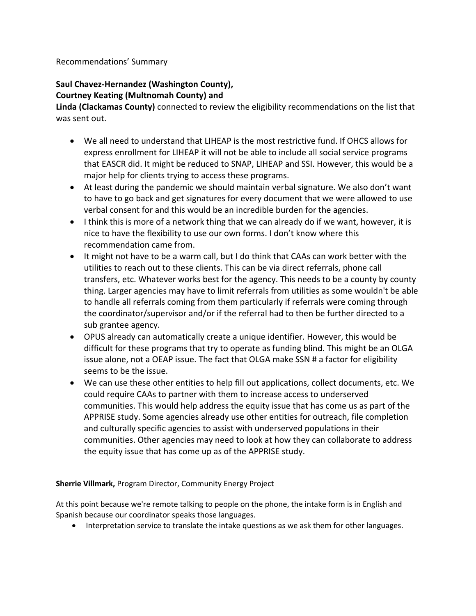## Recommendations' Summary

## **Saul Chavez-Hernandez (Washington County), Courtney Keating (Multnomah County) and**

**Linda (Clackamas County)** connected to review the eligibility recommendations on the list that was sent out.

- We all need to understand that LIHEAP is the most restrictive fund. If OHCS allows for express enrollment for LIHEAP it will not be able to include all social service programs that EASCR did. It might be reduced to SNAP, LIHEAP and SSI. However, this would be a major help for clients trying to access these programs.
- At least during the pandemic we should maintain verbal signature. We also don't want to have to go back and get signatures for every document that we were allowed to use verbal consent for and this would be an incredible burden for the agencies.
- I think this is more of a network thing that we can already do if we want, however, it is nice to have the flexibility to use our own forms. I don't know where this recommendation came from.
- It might not have to be a warm call, but I do think that CAAs can work better with the utilities to reach out to these clients. This can be via direct referrals, phone call transfers, etc. Whatever works best for the agency. This needs to be a county by county thing. Larger agencies may have to limit referrals from utilities as some wouldn't be able to handle all referrals coming from them particularly if referrals were coming through the coordinator/supervisor and/or if the referral had to then be further directed to a sub grantee agency.
- OPUS already can automatically create a unique identifier. However, this would be difficult for these programs that try to operate as funding blind. This might be an OLGA issue alone, not a OEAP issue. The fact that OLGA make SSN # a factor for eligibility seems to be the issue.
- We can use these other entities to help fill out applications, collect documents, etc. We could require CAAs to partner with them to increase access to underserved communities. This would help address the equity issue that has come us as part of the APPRISE study. Some agencies already use other entities for outreach, file completion and culturally specific agencies to assist with underserved populations in their communities. Other agencies may need to look at how they can collaborate to address the equity issue that has come up as of the APPRISE study.

## **Sherrie Villmark,** Program Director, Community Energy Project

At this point because we're remote talking to people on the phone, the intake form is in English and Spanish because our coordinator speaks those languages.

Interpretation service to translate the intake questions as we ask them for other languages.